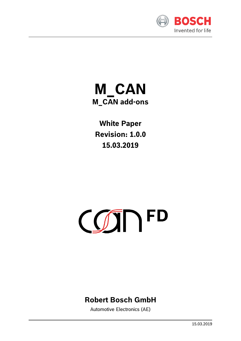

## **M\_CAN M\_CAN add-ons**

**White Paper Revision: 1.0.0 15.03.2019**

# COTTP

## **Robert Bosch GmbH**

Automotive Electronics (AE)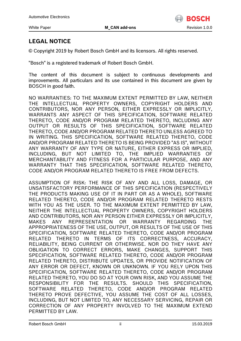

#### **LEGAL NOTICE**

© Copyright 2019 by Robert Bosch GmbH and its licensors. All rights reserved.

"Bosch" is a registered trademark of Robert Bosch GmbH.

The content of this document is subject to continuous developments and improvements. All particulars and its use contained in this document are given by BOSCH in good faith.

NO WARRANTIES: TO THE MAXIMUM EXTENT PERMITTED BY LAW, NEITHER THE INTELLECTUAL PROPERTY OWNERS, COPYRIGHT HOLDERS AND CONTRIBUTORS, NOR ANY PERSON, EITHER EXPRESSLY OR IMPLICITLY, WARRANTS ANY ASPECT OF THIS SPECIFICATION, SOFTWARE RELATED THERETO, CODE AND/OR PROGRAM RELATED THERETO, INCLUDING ANY OUTPUT OR RESULTS OF THIS SPECIFICATION, SOFTWARE RELATED THERETO, CODE AND/OR PROGRAM RELATED THERETO UNLESS AGREED TO IN WRITING. THIS SPECIFICATION, SOFTWARE RELATED THERETO, CODE AND/OR PROGRAM RELATED THERETO IS BEING PROVIDED "AS IS", WITHOUT ANY WARRANTY OF ANY TYPE OR NATURE, EITHER EXPRESS OR IMPLIED, INCLUDING, BUT NOT LIMITED TO, THE IMPLIED WARRANTIES OF MERCHANTABILITY AND FITNESS FOR A PARTICULAR PURPOSE, AND ANY WARRANTY THAT THIS SPECIFICATION, SOFTWARE RELATED THERETO, CODE AND/OR PROGRAM RELATED THERETO IS FREE FROM DEFECTS.

ASSUMPTION OF RISK: THE RISK OF ANY AND ALL LOSS, DAMAGE, OR UNSATISFACTORY PERFORMANCE OF THIS SPECIFICATION (RESPECTIVELY THE PRODUCTS MAKING USE OF IT IN PART OR AS A WHOLE), SOFTWARE RELATED THERETO, CODE AND/OR PROGRAM RELATED THERETO RESTS WITH YOU AS THE USER. TO THE MAXIMUM EXTENT PERMITTED BY LAW, NEITHER THE INTELLECTUAL PROPERTY OWNERS, COPYRIGHT HOLDERS AND CONTRIBUTORS, NOR ANY PERSON EITHER EXPRESSLY OR IMPLICITLY, MAKES ANY REPRESENTATION OR WARRANTY REGARDING THE APPROPRIATENESS OF THE USE, OUTPUT, OR RESULTS OF THE USE OF THIS SPECIFICATION, SOFTWARE RELATED THERETO, CODE AND/OR PROGRAM RELATED THERETO IN TERMS OF ITS CORRECTNESS, ACCURACY, RELIABILITY, BEING CURRENT OR OTHERWISE. NOR DO THEY HAVE ANY OBLIGATION TO CORRECT ERRORS, MAKE CHANGES, SUPPORT THIS SPECIFICATION, SOFTWARE RELATED THERETO, CODE AND/OR PROGRAM RELATED THERETO, DISTRIBUTE UPDATES, OR PROVIDE NOTIFICATION OF ANY ERROR OR DEFECT, KNOWN OR UNKNOWN. IF YOU RELY UPON THIS SPECIFICATION, SOFTWARE RELATED THERETO, CODE AND/OR PROGRAM RELATED THERETO, YOU DO SO AT YOUR OWN RISK, AND YOU ASSUME THE RESPONSIBILITY FOR THE RESULTS. SHOULD THIS SPECIFICATION, SOFTWARE RELATED THERETO, CODE AND/OR PROGRAM RELATED THERETO PROVE DEFECTIVE, YOU ASSUME THE COST OF ALL LOSSES, INCLUDING, BUT NOT LIMITED TO, ANY NECESSARY SERVICING, REPAIR OR CORRECTION OF ANY PROPERTY INVOLVED TO THE MAXIMUM EXTEND PERMITTED BY LAW.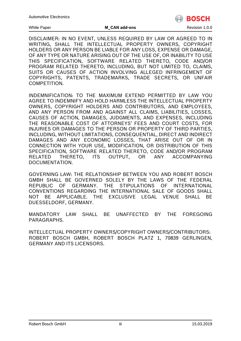

#### White Paper **MICAN add-ons MICAN addemic COVERS** Revision 1.0.0

DISCLAIMER: IN NO EVENT, UNLESS REQUIRED BY LAW OR AGREED TO IN WRITING, SHALL THE INTELLECTUAL PROPERTY OWNERS, COPYRIGHT HOLDERS OR ANY PERSON BE LIABLE FOR ANY LOSS, EXPENSE OR DAMAGE, OF ANY TYPE OR NATURE ARISING OUT OF THE USE OF, OR INABILITY TO USE THIS SPECIFICATION, SOFTWARE RELATED THERETO, CODE AND/OR PROGRAM RELATED THERETO, INCLUDING, BUT NOT LIMITED TO, CLAIMS, SUITS OR CAUSES OF ACTION INVOLVING ALLEGED INFRINGEMENT OF COPYRIGHTS, PATENTS, TRADEMARKS, TRADE SECRETS, OR UNFAIR COMPETITION.

INDEMNIFICATION: TO THE MAXIMUM EXTEND PERMITTED BY LAW YOU AGREE TO INDEMNIFY AND HOLD HARMLESS THE INTELLECTUAL PROPERTY OWNERS, COPYRIGHT HOLDERS AND CONTRIBUTORS, AND EMPLOYEES, AND ANY PERSON FROM AND AGAINST ALL CLAIMS, LIABILITIES, LOSSES, CAUSES OF ACTION, DAMAGES, JUDGMENTS, AND EXPENSES, INCLUDING THE REASONABLE COST OF ATTORNEYS' FEES AND COURT COSTS, FOR INJURIES OR DAMAGES TO THE PERSON OR PROPERTY OF THIRD PARTIES, INCLUDING, WITHOUT LIMITATIONS, CONSEQUENTIAL, DIRECT AND INDIRECT DAMAGES AND ANY ECONOMIC LOSSES, THAT ARISE OUT OF OR IN CONNECTION WITH YOUR USE, MODIFICATION, OR DISTRIBUTION OF THIS SPECIFICATION, SOFTWARE RELATED THERETO, CODE AND/OR PROGRAM RELATED THERETO, ITS OUTPUT, OR ANY ACCOMPANYING DOCUMENTATION.

GOVERNING LAW: THE RELATIONSHIP BETWEEN YOU AND ROBERT BOSCH GMBH SHALL BE GOVERNED SOLELY BY THE LAWS OF THE FEDERAL REPUBLIC OF GERMANY. THE STIPULATIONS OF INTERNATIONAL CONVENTIONS REGARDING THE INTERNATIONAL SALE OF GOODS SHALL NOT BE APPLICABLE. THE EXCLUSIVE LEGAL VENUE SHALL BE DUESSELDORF, GERMANY.

MANDATORY LAW SHALL BE UNAFFECTED BY THE FOREGOING PARAGRAPHS.

INTELLECTUAL PROPERTY OWNERS/COPYRIGHT OWNERS/CONTRIBUTORS: ROBERT BOSCH GMBH, ROBERT BOSCH PLATZ 1, 70839 GERLINGEN, GERMANY AND ITS LICENSORS.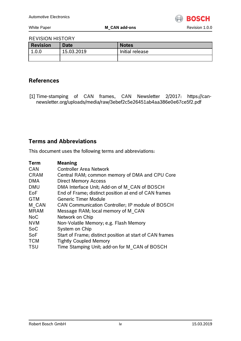

#### REVISION HISTORY

| Revision | <b>Date</b> | <b>Notes</b>    |
|----------|-------------|-----------------|
| 1.0.0    | 15.03.2019  | Initial release |
|          |             |                 |

#### **References**

[1] Time-stamping of CAN frames, CAN Newsletter 2/2017: https://cannewsletter.org/uploads/media/raw/3ebef2c5e26451ab4aa386e0e67ce5f2.pdf

#### **Terms and Abbreviations**

This document uses the following terms and abbreviations:

| <b>Meaning</b>                                           |
|----------------------------------------------------------|
| <b>Controller Area Network</b>                           |
| Central RAM; common memory of DMA and CPU Core           |
| <b>Direct Memory Access</b>                              |
| DMA Interface Unit; Add-on of M CAN of BOSCH             |
| End of Frame; distinct position at end of CAN frames     |
| <b>Generic Timer Module</b>                              |
| CAN Communication Controller; IP module of BOSCH         |
| Message RAM; local memory of M CAN                       |
| Network on Chip                                          |
| Non-Volatile Memory; e.g. Flash Memory                   |
| System on Chip                                           |
| Start of Frame; distinct position at start of CAN frames |
| <b>Tightly Coupled Memory</b>                            |
| Time Stamping Unit; add-on for M CAN of BOSCH            |
|                                                          |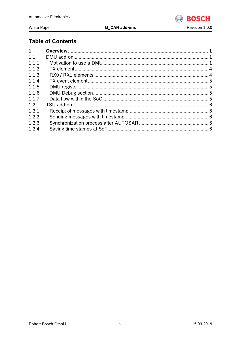

#### White Paper

**M\_CAN add-ons** 

### **Table of Contents**

| 1     |  |
|-------|--|
| 1.1   |  |
| 1.1.1 |  |
| 1.1.2 |  |
| 1.1.3 |  |
| 1.1.4 |  |
| 1.1.5 |  |
| 1.1.6 |  |
| 1.1.7 |  |
| 1.2   |  |
| 1.2.1 |  |
| 1.2.2 |  |
| 1.2.3 |  |
| 1.2.4 |  |
|       |  |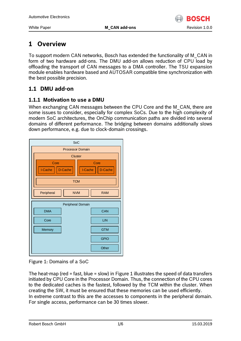

## <span id="page-5-0"></span>**1 Overview**

To support modern CAN networks, Bosch has extended the functionality of M\_CAN in form of two hardware add-ons. The DMU add-on allows reduction of CPU load by offloading the transport of CAN messages to a DMA controller. The TSU expansion module enables hardware based and AUTOSAR compatible time synchronization with the best possible precision.

#### <span id="page-5-1"></span>**1.1 DMU add-on**

#### <span id="page-5-2"></span>**1.1.1 Motivation to use a DMU**

When exchanging CAN messages between the CPU Core and the M\_CAN, there are some issues to consider, especially for complex SoCs. Due to the high complexity of modern SoC architectures, the OnChip communication paths are divided into several domains of different performance. The bridging between domains additionally slows down performance, e.g. due to clock-domain crossings.



#### <span id="page-5-3"></span>Figure 1: Domains of a SoC

The heat-map (red = fast, blue = slow) i[n Figure 1](#page-5-3) illustrates the speed of data transfers initiated by CPU Core in the Processor Domain. Thus, the connection of the CPU cores to the dedicated caches is the fastest, followed by the TCM within the cluster. When creating the SW, it must be ensured that these memories can be used efficiently. In extreme contrast to this are the accesses to components in the peripheral domain. For single access, performance can be 30 times slower.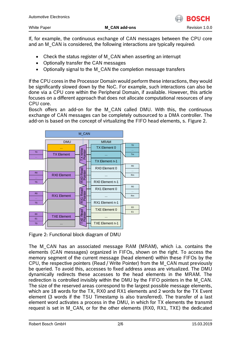If, for example, the continuous exchange of CAN messages between the CPU core and an M\_CAN is considered, the following interactions are typically required:

- Check the status register of M\_CAN when asserting an interrupt
- Optionally transfer the CAN messages
- Optionally signal to the M CAN the completion message transfers

If the CPU cores in the Processor Domain would perform these interactions, they would be significantly slowed down by the NoC. For example, such interactions can also be done via a CPU core within the Peripheral Domain, if available. However, this article focuses on a different approach that does not allocate computational resources of any CPU core.

Bosch offers an add-on for the M\_CAN called DMU. With this, the continuous exchange of CAN messages can be completely outsourced to a DMA controller. The add-on is based on the concept of virtualizing the FIFO head elements, s. [Figure 2.](#page-6-0)



<span id="page-6-0"></span>Figure 2: Functional block diagram of DMU

The M\_CAN has an associated message RAM (MRAM), which i.a. contains the elements (CAN messages) organized in FIFOs, shown on the right. To access the memory segment of the current message (head element) within these FIFOs by the CPU, the respective pointers (Read / Write Pointer) from the M\_CAN must previously be queried. To avoid this, accesses to fixed address areas are virtualized. The DMU dynamically redirects these accesses to the head elements in the MRAM. The redirection is controlled invisibly within the DMU by the FIFO pointers in the M\_CAN. The size of the reserved areas correspond to the largest possible message elements, which are 18 words for the TX, RX0 and RX1 elements and 2 words for the TX Event element (3 words if the TSU Timestamp is also transferred). The transfer of a last element word activates a process in the DMU, in which for TX elements the transmit request is set in M\_CAN, or for the other elements (RX0, RX1, TXE) the dedicated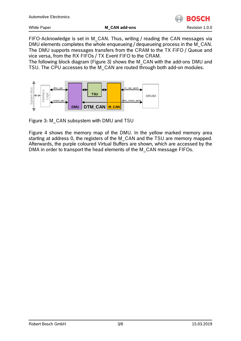

nsru

White Paper **M\_CAN add-ons** Revision 1.0.0

FIFO-Acknowledge is set in M\_CAN. Thus, writing / reading the CAN messages via DMU elements completes the whole enqueueing / dequeueing process in the M\_CAN. The DMU supports messages transfers from the CRAM to the TX FIFO / Queue and vice versa, from the RX FIFOs / TX Event FIFO to the CRAM.

The following block diagram [\(Figure 3\)](#page-7-0) shows the M\_CAN with the add-ons DMU and TSU. The CPU accesses to the M\_CAN are routed through both add-on modules.



<span id="page-7-0"></span>Figure 3: M\_CAN subsystem with DMU and TSU

[Figure 4](#page-8-2) shows the memory map of the DMU. In the yellow marked memory area starting at address 0, the registers of the M\_CAN and the TSU are memory mapped. Afterwards, the purple coloured Virtual Buffers are shown, which are accessed by the DMA in order to transport the head elements of the M\_CAN message FIFOs.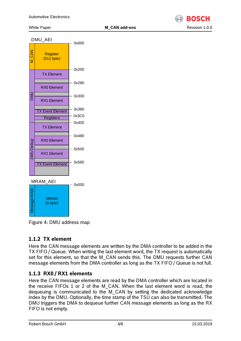

#### MRAM (n byte) Message RAM **Registers Register** (512 byte) **DMU**  $-0x000$ 0x200 RX0 Element RX1 Element TX Event Element TX Element 0x280 0x300 0x380 0x400 0x480 M\_CAN 0x580 *DMU Debug* 0x500 0x3C0 *RX0 Element RX1 Element TX Event Element TX Element*  $-0x000$ DMU\_AEI MRAM\_AEI

<span id="page-8-2"></span>Figure 4: DMU address map

#### <span id="page-8-0"></span>**1.1.2 TX element**

Here the CAN message elements are written by the DMA controller to be added in the TX FIFO / Queue. When writing the last element word, the TX request is automatically set for this element, so that the M\_CAN sends this. The DMU requests further CAN message elements from the DMA controller as long as the TX FIFO / Queue is not full.

#### <span id="page-8-1"></span>**1.1.3 RX0 / RX1 elements**

Here the CAN message elements are read by the DMA controller which are located in the receive FIFOs 1 or 2 of the M\_CAN. When the last element word is read, the dequeuing is communicated to the M\_CAN by setting the dedicated acknowledge index by the DMU. Optionally, the time stamp of the TSU can also be transmitted. The DMU triggers the DMA to dequeue further CAN message elements as long as the RX FIFO is not empty.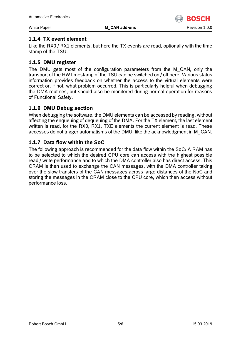

#### <span id="page-9-0"></span>**1.1.4 TX event element**

Like the RX0 / RX1 elements, but here the TX events are read, optionally with the time stamp of the TSU.

#### <span id="page-9-1"></span>**1.1.5 DMU register**

The DMU gets most of the configuration parameters from the M\_CAN, only the transport of the HW timestamp of the TSU can be switched on / off here. Various status information provides feedback on whether the access to the virtual elements were correct or, if not, what problem occurred. This is particularly helpful when debugging the DMA routines, but should also be monitored during normal operation for reasons of Functional Safety.

#### <span id="page-9-2"></span>**1.1.6 DMU Debug section**

When debugging the software, the DMU elements can be accessed by reading, without affecting the enqueuing of dequeuing of the DMA. For the TX element, the last element written is read, for the RX0, RX1, TXE elements the current element is read. These accesses do not trigger automatisms of the DMU, like the acknowledgment in M\_CAN.

#### <span id="page-9-3"></span>**1.1.7 Data flow within the SoC**

The following approach is recommended for the data flow within the SoC: A RAM has to be selected to which the desired CPU core can access with the highest possible read / write performance and to which the DMA controller also has direct access. This CRAM is then used to exchange the CAN messages, with the DMA controller taking over the slow transfers of the CAN messages across large distances of the NoC and storing the messages in the CRAM close to the CPU core, which then access without performance loss.